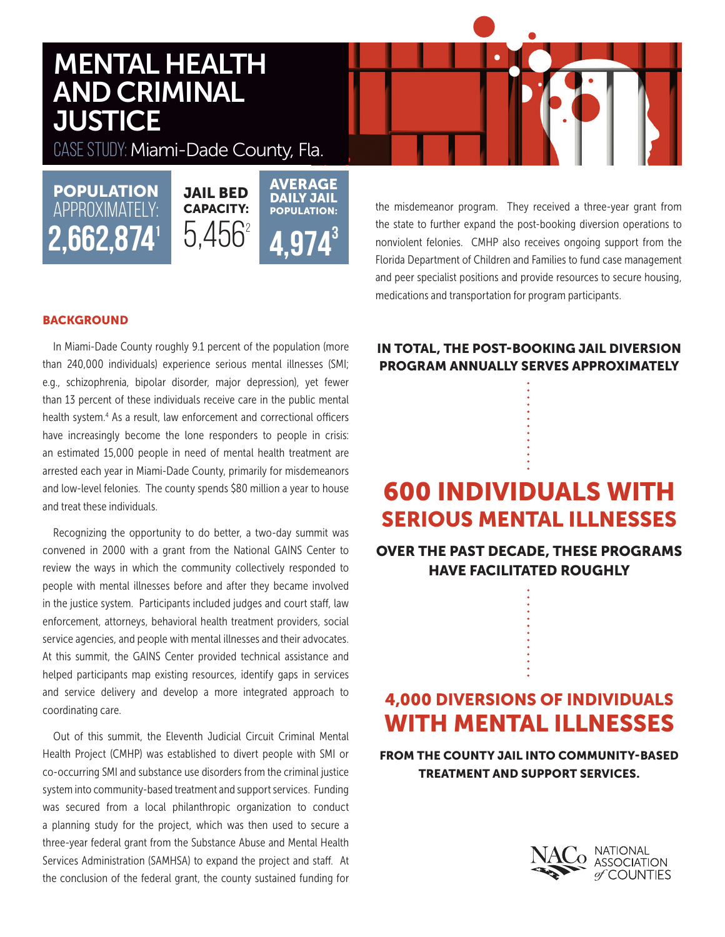# MENTAL HEALTH AND CRIMINAL **JUSTICE**

CASE STUDY: Miami-Dade County, Fla.

POPULATION APPROXIMATELY:

#### JAIL BED CAPACITY:  $5.456^{\circ}$ AVERAGE DAILY JAIL POPULATION: 2,662,874' 5,456° *a* g7

the misdemeanor program. They received a three-year grant from the state to further expand the post-booking diversion operations to nonviolent felonies. CMHP also receives ongoing support from the Florida Department of Children and Families to fund case management and peer specialist positions and provide resources to secure housing, medications and transportation for program participants.

#### **BACKGROUND**

In Miami-Dade County roughly 9.1 percent of the population (more than 240,000 individuals) experience serious mental illnesses (SMI; e.g., schizophrenia, bipolar disorder, major depression), yet fewer than 13 percent of these individuals receive care in the public mental health system.<sup>4</sup> As a result, law enforcement and correctional officers have increasingly become the lone responders to people in crisis: an estimated 15,000 people in need of mental health treatment are arrested each year in Miami-Dade County, primarily for misdemeanors and low-level felonies. The county spends \$80 million a year to house and treat these individuals.

Recognizing the opportunity to do better, a two-day summit was convened in 2000 with a grant from the National GAINS Center to review the ways in which the community collectively responded to people with mental illnesses before and after they became involved in the justice system. Participants included judges and court staff, law enforcement, attorneys, behavioral health treatment providers, social service agencies, and people with mental illnesses and their advocates. At this summit, the GAINS Center provided technical assistance and helped participants map existing resources, identify gaps in services and service delivery and develop a more integrated approach to coordinating care.

Out of this summit, the Eleventh Judicial Circuit Criminal Mental Health Project (CMHP) was established to divert people with SMI or co-occurring SMI and substance use disorders from the criminal justice system into community-based treatment and support services. Funding was secured from a local philanthropic organization to conduct a planning study for the project, which was then used to secure a three-year federal grant from the Substance Abuse and Mental Health Services Administration (SAMHSA) to expand the project and staff. At the conclusion of the federal grant, the county sustained funding for

### IN TOTAL, THE POST-BOOKING JAIL DIVERSION PROGRAM ANNUALLY SERVES APPROXIMATELY

## 600 INDIVIDUALS WITH SERIOUS MENTAL ILLNESSES

OVER THE PAST DECADE, THESE PROGRAMS HAVE FACILITATED ROUGHLY

## 4,000 DIVERSIONS OF INDIVIDUALS WITH MENTAL ILLNESSES

FROM THE COUNTY JAIL INTO COMMUNITY-BASED TREATMENT AND SUPPORT SERVICES.

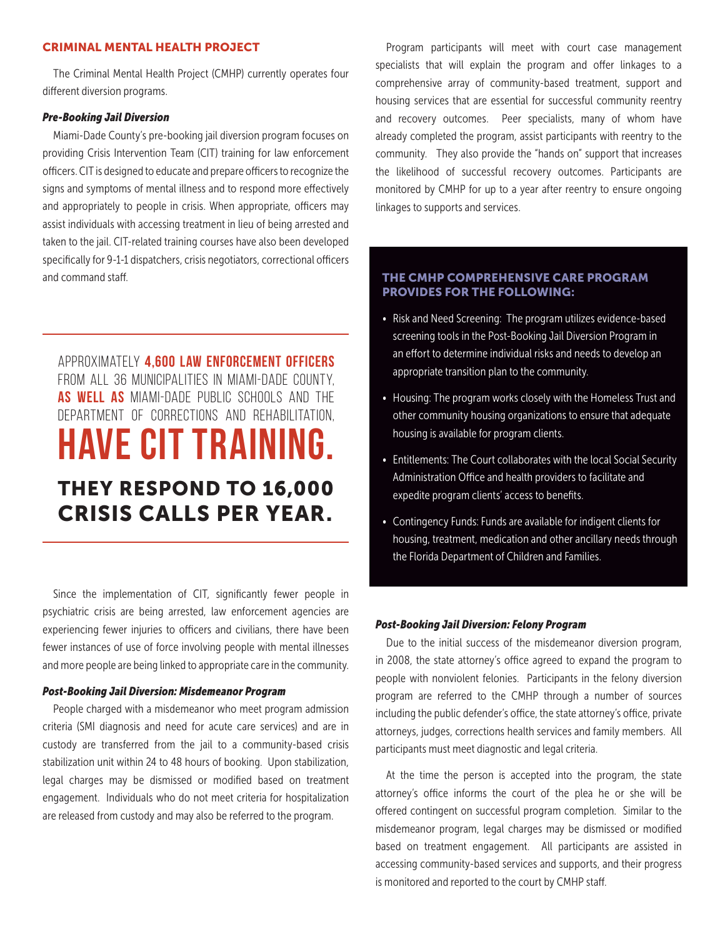#### CRIMINAL MENTAL HEALTH PROJECT

The Criminal Mental Health Project (CMHP) currently operates four different diversion programs.

#### *Pre-Booking Jail Diversion*

Miami-Dade County's pre-booking jail diversion program focuses on providing Crisis Intervention Team (CIT) training for law enforcement officers. CIT is designed to educate and prepare officers to recognize the signs and symptoms of mental illness and to respond more effectively and appropriately to people in crisis. When appropriate, officers may assist individuals with accessing treatment in lieu of being arrested and taken to the jail. CIT-related training courses have also been developed specifically for 9-1-1 dispatchers, crisis negotiators, correctional officers and command staff.

## APPROXIMATELY 4,600 LAW ENFORCEMENT OFFICERS FROM ALL 36 MUNICIPALITIES IN MIAMI-DADE COUNTY, AS WELL AS MIAMI-DADE PUBLIC SCHOOLS AND THE department of corrections and rehabilitation, HAVE CIT TRAINING. THEY RESPOND TO 16,000 CRISIS CALLS PER YEAR.

Since the implementation of CIT, significantly fewer people in psychiatric crisis are being arrested, law enforcement agencies are experiencing fewer injuries to officers and civilians, there have been fewer instances of use of force involving people with mental illnesses and more people are being linked to appropriate care in the community.

#### *Post-Booking Jail Diversion: Misdemeanor Program*

People charged with a misdemeanor who meet program admission criteria (SMI diagnosis and need for acute care services) and are in custody are transferred from the jail to a community-based crisis stabilization unit within 24 to 48 hours of booking. Upon stabilization, legal charges may be dismissed or modified based on treatment engagement. Individuals who do not meet criteria for hospitalization are released from custody and may also be referred to the program.

Program participants will meet with court case management specialists that will explain the program and offer linkages to a comprehensive array of community-based treatment, support and housing services that are essential for successful community reentry and recovery outcomes. Peer specialists, many of whom have already completed the program, assist participants with reentry to the community. They also provide the "hands on" support that increases the likelihood of successful recovery outcomes. Participants are monitored by CMHP for up to a year after reentry to ensure ongoing linkages to supports and services.

#### THE CMHP COMPREHENSIVE CARE PROGRAM PROVIDES FOR THE FOLLOWING:

- Risk and Need Screening: The program utilizes evidence-based screening tools in the Post-Booking Jail Diversion Program in an effort to determine individual risks and needs to develop an appropriate transition plan to the community.
- Housing: The program works closely with the Homeless Trust and other community housing organizations to ensure that adequate housing is available for program clients.
- Entitlements: The Court collaborates with the local Social Security Administration Office and health providers to facilitate and expedite program clients' access to benefits.
- Contingency Funds: Funds are available for indigent clients for housing, treatment, medication and other ancillary needs through the Florida Department of Children and Families.

#### *Post-Booking Jail Diversion: Felony Program*

Due to the initial success of the misdemeanor diversion program, in 2008, the state attorney's office agreed to expand the program to people with nonviolent felonies. Participants in the felony diversion program are referred to the CMHP through a number of sources including the public defender's office, the state attorney's office, private attorneys, judges, corrections health services and family members. All participants must meet diagnostic and legal criteria.

At the time the person is accepted into the program, the state attorney's office informs the court of the plea he or she will be offered contingent on successful program completion. Similar to the misdemeanor program, legal charges may be dismissed or modified based on treatment engagement. All participants are assisted in accessing community-based services and supports, and their progress is monitored and reported to the court by CMHP staff.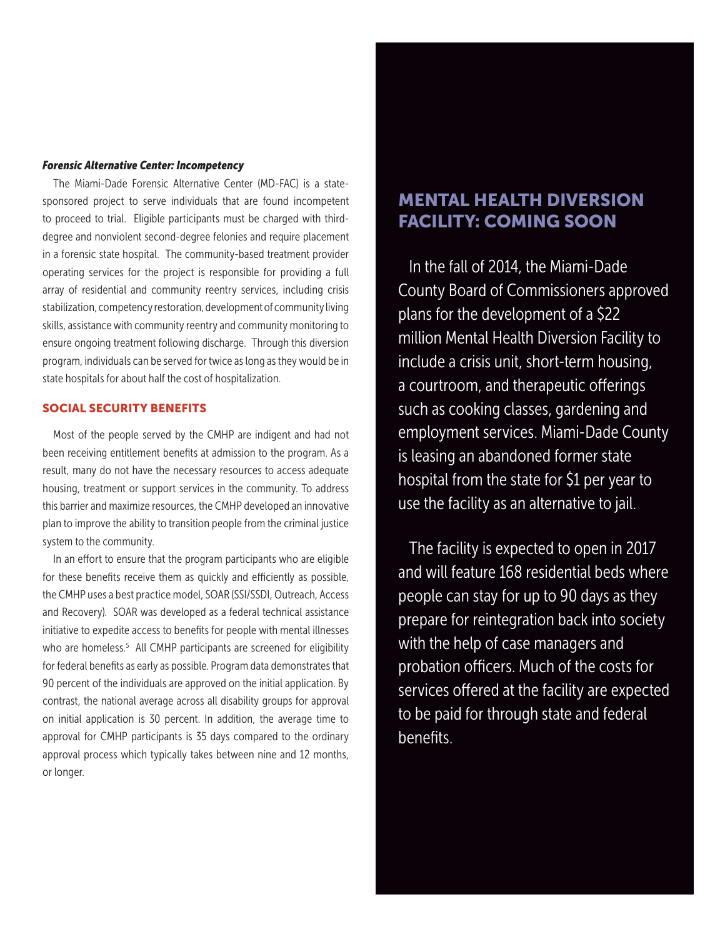#### *Forensic Alternative Center: Incompetency*

The Miami-Dade Forensic Alternative Center (MD-FAC) is a statesponsored project to serve individuals that are found incompetent to proceed to trial. Eligible participants must be charged with thirddegree and nonviolent second-degree felonies and require placement in a forensic state hospital. The community-based treatment provider operating services for the project is responsible for providing a full array of residential and community reentry services, including crisis stabilization, competency restoration, development of community living skills, assistance with community reentry and community monitoring to ensure ongoing treatment following discharge. Through this diversion program, individuals can be served for twice as long as they would be in state hospitals for about half the cost of hospitalization.

#### SOCIAL SECURITY BENEFITS

Most of the people served by the CMHP are indigent and had not been receiving entitlement benefits at admission to the program. As a result, many do not have the necessary resources to access adequate housing, treatment or support services in the community. To address this barrier and maximize resources, the CMHP developed an innovative plan to improve the ability to transition people from the criminal justice system to the community.

In an effort to ensure that the program participants who are eligible for these benefits receive them as quickly and efficiently as possible, the CMHP uses a best practice model, SOAR (SSI/SSDI, Outreach, Access and Recovery). SOAR was developed as a federal technical assistance initiative to expedite access to benefits for people with mental illnesses who are homeless.<sup>5</sup> All CMHP participants are screened for eligibility for federal benefits as early as possible. Program data demonstrates that 90 percent of the individuals are approved on the initial application. By contrast, the national average across all disability groups for approval on initial application is 30 percent. In addition, the average time to approval for CMHP participants is 35 days compared to the ordinary approval process which typically takes between nine and 12 months, or longer.

### MENTAL HEALTH DIVERSION FACILITY: COMING SOON

In the fall of 2014, the Miami-Dade County Board of Commissioners approved plans for the development of a \$22 million Mental Health Diversion Facility to include a crisis unit, short-term housing, a courtroom, and therapeutic offerings such as cooking classes, gardening and employment services. Miami-Dade County is leasing an abandoned former state hospital from the state for \$1 per year to use the facility as an alternative to jail.

The facility is expected to open in 2017 and will feature 168 residential beds where people can stay for up to 90 days as they prepare for reintegration back into society with the help of case managers and probation officers. Much of the costs for services offered at the facility are expected to be paid for through state and federal benefits.